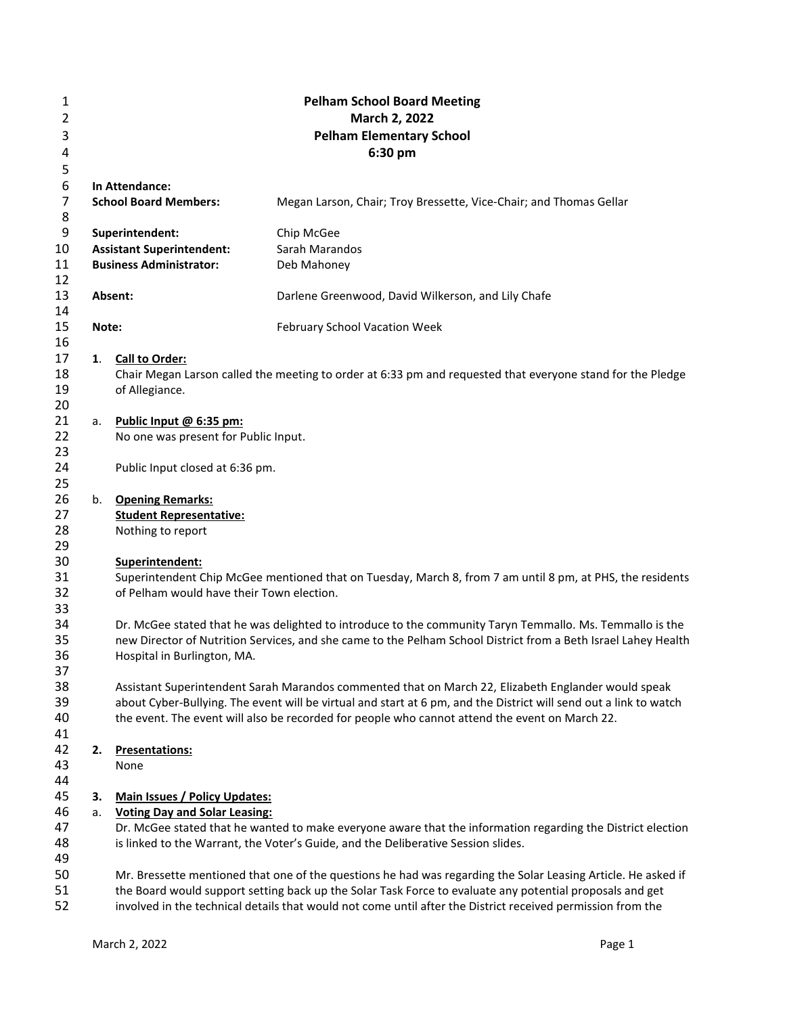| 1              | <b>Pelham School Board Meeting</b> |                                           |                                                                                                                                                                                                                           |  |  |  |  |  |
|----------------|------------------------------------|-------------------------------------------|---------------------------------------------------------------------------------------------------------------------------------------------------------------------------------------------------------------------------|--|--|--|--|--|
| $\overline{2}$ | March 2, 2022                      |                                           |                                                                                                                                                                                                                           |  |  |  |  |  |
| 3              | <b>Pelham Elementary School</b>    |                                           |                                                                                                                                                                                                                           |  |  |  |  |  |
| 4              | 6:30 pm                            |                                           |                                                                                                                                                                                                                           |  |  |  |  |  |
| 5              |                                    |                                           |                                                                                                                                                                                                                           |  |  |  |  |  |
| 6              |                                    | In Attendance:                            |                                                                                                                                                                                                                           |  |  |  |  |  |
| 7              |                                    | <b>School Board Members:</b>              | Megan Larson, Chair; Troy Bressette, Vice-Chair; and Thomas Gellar                                                                                                                                                        |  |  |  |  |  |
| 8              |                                    |                                           |                                                                                                                                                                                                                           |  |  |  |  |  |
| 9              |                                    | Superintendent:                           | Chip McGee                                                                                                                                                                                                                |  |  |  |  |  |
| 10             |                                    | <b>Assistant Superintendent:</b>          | Sarah Marandos                                                                                                                                                                                                            |  |  |  |  |  |
| 11             |                                    | <b>Business Administrator:</b>            | Deb Mahoney                                                                                                                                                                                                               |  |  |  |  |  |
| 12             |                                    |                                           |                                                                                                                                                                                                                           |  |  |  |  |  |
| 13             |                                    | Absent:                                   | Darlene Greenwood, David Wilkerson, and Lily Chafe                                                                                                                                                                        |  |  |  |  |  |
| 14             |                                    |                                           |                                                                                                                                                                                                                           |  |  |  |  |  |
| 15             | Note:                              |                                           | February School Vacation Week                                                                                                                                                                                             |  |  |  |  |  |
| 16             |                                    |                                           |                                                                                                                                                                                                                           |  |  |  |  |  |
| 17             | 1.                                 | <b>Call to Order:</b>                     |                                                                                                                                                                                                                           |  |  |  |  |  |
| 18             |                                    |                                           | Chair Megan Larson called the meeting to order at 6:33 pm and requested that everyone stand for the Pledge                                                                                                                |  |  |  |  |  |
| 19             |                                    | of Allegiance.                            |                                                                                                                                                                                                                           |  |  |  |  |  |
| 20             |                                    |                                           |                                                                                                                                                                                                                           |  |  |  |  |  |
| 21             | a.                                 | Public Input @ 6:35 pm:                   |                                                                                                                                                                                                                           |  |  |  |  |  |
| 22             |                                    | No one was present for Public Input.      |                                                                                                                                                                                                                           |  |  |  |  |  |
| 23<br>24       |                                    |                                           |                                                                                                                                                                                                                           |  |  |  |  |  |
| 25             |                                    | Public Input closed at 6:36 pm.           |                                                                                                                                                                                                                           |  |  |  |  |  |
| 26             | b.                                 | <b>Opening Remarks:</b>                   |                                                                                                                                                                                                                           |  |  |  |  |  |
| 27             |                                    | <b>Student Representative:</b>            |                                                                                                                                                                                                                           |  |  |  |  |  |
| 28             |                                    | Nothing to report                         |                                                                                                                                                                                                                           |  |  |  |  |  |
| 29             |                                    |                                           |                                                                                                                                                                                                                           |  |  |  |  |  |
| 30             |                                    | Superintendent:                           |                                                                                                                                                                                                                           |  |  |  |  |  |
| 31             |                                    |                                           | Superintendent Chip McGee mentioned that on Tuesday, March 8, from 7 am until 8 pm, at PHS, the residents                                                                                                                 |  |  |  |  |  |
| 32             |                                    | of Pelham would have their Town election. |                                                                                                                                                                                                                           |  |  |  |  |  |
| 33             |                                    |                                           |                                                                                                                                                                                                                           |  |  |  |  |  |
| 34             |                                    |                                           | Dr. McGee stated that he was delighted to introduce to the community Taryn Temmallo. Ms. Temmallo is the                                                                                                                  |  |  |  |  |  |
| 35             |                                    |                                           | new Director of Nutrition Services, and she came to the Pelham School District from a Beth Israel Lahey Health                                                                                                            |  |  |  |  |  |
| 36             |                                    | Hospital in Burlington, MA.               |                                                                                                                                                                                                                           |  |  |  |  |  |
| 37             |                                    |                                           |                                                                                                                                                                                                                           |  |  |  |  |  |
| 38             |                                    |                                           | Assistant Superintendent Sarah Marandos commented that on March 22, Elizabeth Englander would speak                                                                                                                       |  |  |  |  |  |
| 39             |                                    |                                           | about Cyber-Bullying. The event will be virtual and start at 6 pm, and the District will send out a link to watch                                                                                                         |  |  |  |  |  |
| 40             |                                    |                                           | the event. The event will also be recorded for people who cannot attend the event on March 22.                                                                                                                            |  |  |  |  |  |
| 41             |                                    |                                           |                                                                                                                                                                                                                           |  |  |  |  |  |
| 42             | 2.                                 | <b>Presentations:</b>                     |                                                                                                                                                                                                                           |  |  |  |  |  |
| 43             |                                    | None                                      |                                                                                                                                                                                                                           |  |  |  |  |  |
| 44             |                                    |                                           |                                                                                                                                                                                                                           |  |  |  |  |  |
| 45             | З.                                 | <b>Main Issues / Policy Updates:</b>      |                                                                                                                                                                                                                           |  |  |  |  |  |
| 46             | a.                                 | <b>Voting Day and Solar Leasing:</b>      |                                                                                                                                                                                                                           |  |  |  |  |  |
| 47             |                                    |                                           | Dr. McGee stated that he wanted to make everyone aware that the information regarding the District election                                                                                                               |  |  |  |  |  |
| 48             |                                    |                                           | is linked to the Warrant, the Voter's Guide, and the Deliberative Session slides.                                                                                                                                         |  |  |  |  |  |
| 49             |                                    |                                           |                                                                                                                                                                                                                           |  |  |  |  |  |
| 50<br>51       |                                    |                                           | Mr. Bressette mentioned that one of the questions he had was regarding the Solar Leasing Article. He asked if<br>the Board would support setting back up the Solar Task Force to evaluate any potential proposals and get |  |  |  |  |  |
| 52             |                                    |                                           | involved in the technical details that would not come until after the District received permission from the                                                                                                               |  |  |  |  |  |
|                |                                    |                                           |                                                                                                                                                                                                                           |  |  |  |  |  |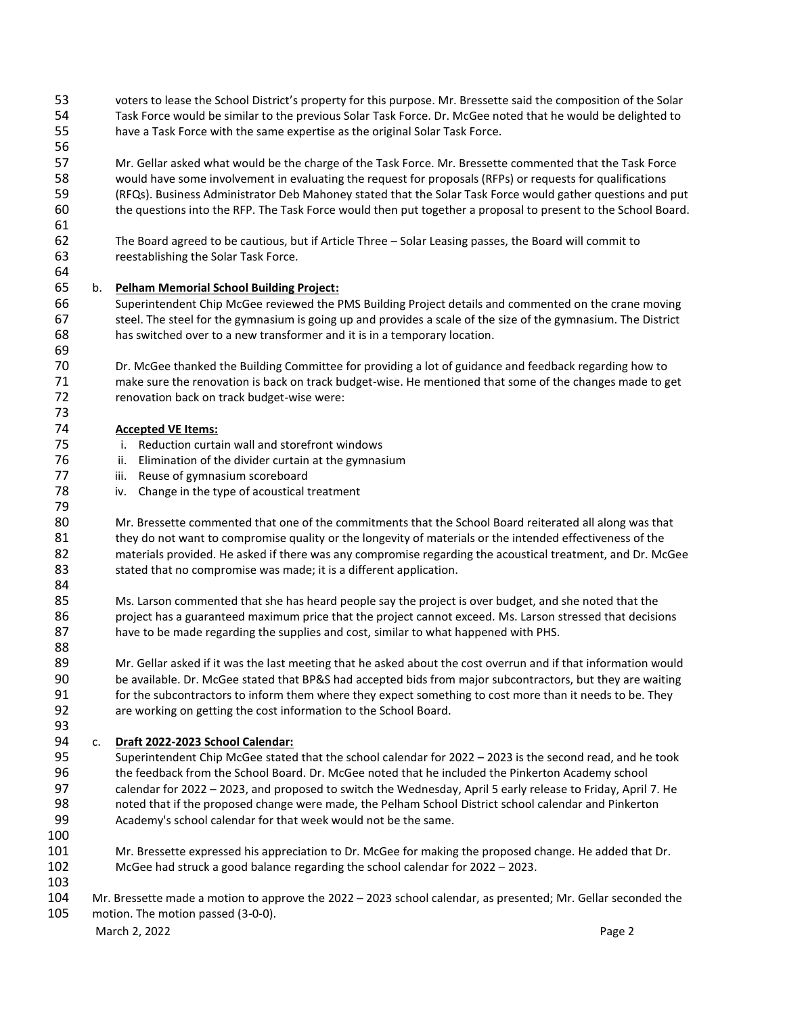- voters to lease the School District's property for this purpose. Mr. Bressette said the composition of the Solar Task Force would be similar to the previous Solar Task Force. Dr. McGee noted that he would be delighted to have a Task Force with the same expertise as the original Solar Task Force.
- Mr. Gellar asked what would be the charge of the Task Force. Mr. Bressette commented that the Task Force would have some involvement in evaluating the request for proposals (RFPs) or requests for qualifications (RFQs). Business Administrator Deb Mahoney stated that the Solar Task Force would gather questions and put the questions into the RFP. The Task Force would then put together a proposal to present to the School Board.
- The Board agreed to be cautious, but if Article Three Solar Leasing passes, the Board will commit to reestablishing the Solar Task Force.

# b. **Pelham Memorial School Building Project:**

- Superintendent Chip McGee reviewed the PMS Building Project details and commented on the crane moving steel. The steel for the gymnasium is going up and provides a scale of the size of the gymnasium. The District has switched over to a new transformer and it is in a temporary location.
- Dr. McGee thanked the Building Committee for providing a lot of guidance and feedback regarding how to make sure the renovation is back on track budget-wise. He mentioned that some of the changes made to get renovation back on track budget-wise were:

# **Accepted VE Items:**

- i. Reduction curtain wall and storefront windows
- 76 ii. Elimination of the divider curtain at the gymnasium
- 77 iii. Reuse of gymnasium scoreboard
- iv. Change in the type of acoustical treatment
- Mr. Bressette commented that one of the commitments that the School Board reiterated all along was that 81 they do not want to compromise quality or the longevity of materials or the intended effectiveness of the materials provided. He asked if there was any compromise regarding the acoustical treatment, and Dr. McGee 83 stated that no compromise was made; it is a different application.
- 

- 85 Ms. Larson commented that she has heard people say the project is over budget, and she noted that the 86 project has a guaranteed maximum price that the project cannot exceed. Ms. Larson stressed that decisions have to be made regarding the supplies and cost, similar to what happened with PHS.
- 89 Mr. Gellar asked if it was the last meeting that he asked about the cost overrun and if that information would be available. Dr. McGee stated that BP&S had accepted bids from major subcontractors, but they are waiting 91 for the subcontractors to inform them where they expect something to cost more than it needs to be. They are working on getting the cost information to the School Board.

### c. **Draft 2022-2023 School Calendar:**

- Superintendent Chip McGee stated that the school calendar for 2022 2023 is the second read, and he took the feedback from the School Board. Dr. McGee noted that he included the Pinkerton Academy school calendar for 2022 – 2023, and proposed to switch the Wednesday, April 5 early release to Friday, April 7. He noted that if the proposed change were made, the Pelham School District school calendar and Pinkerton Academy's school calendar for that week would not be the same.
- 

- Mr. Bressette expressed his appreciation to Dr. McGee for making the proposed change. He added that Dr. McGee had struck a good balance regarding the school calendar for 2022 – 2023.
- 
- Mr. Bressette made a motion to approve the 2022 2023 school calendar, as presented; Mr. Gellar seconded the motion. The motion passed (3-0-0).

March 2, 2022 **Page 2**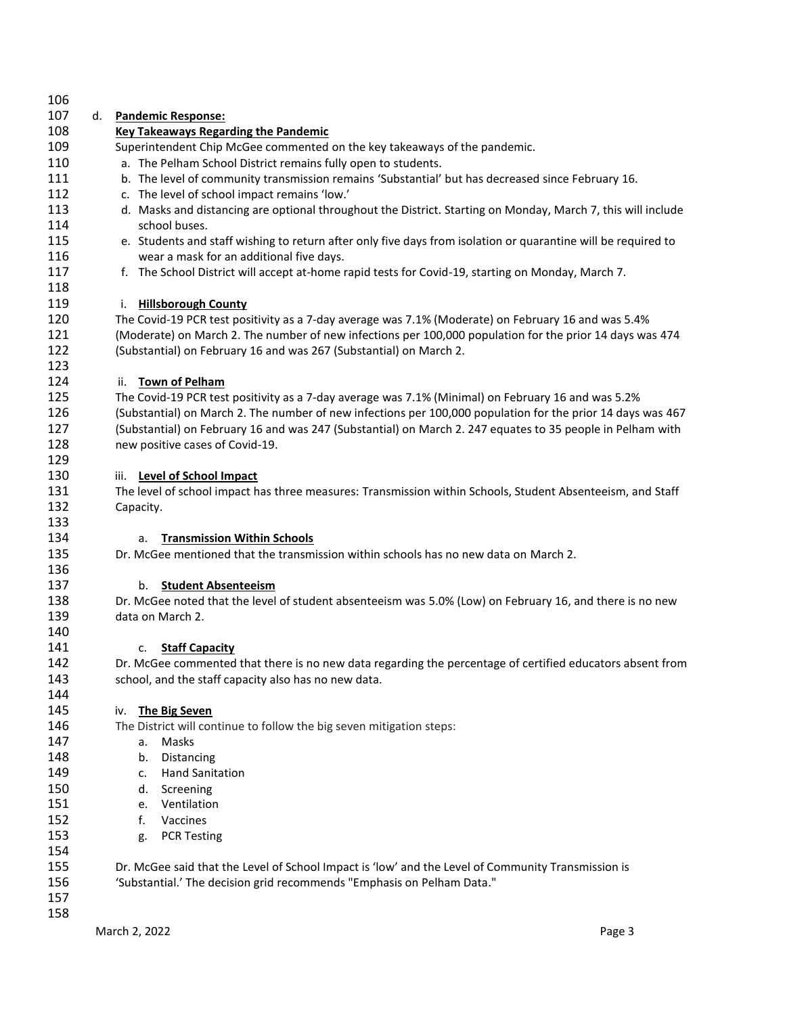| 106 |    |                                                                                                               |
|-----|----|---------------------------------------------------------------------------------------------------------------|
| 107 | d. | <b>Pandemic Response:</b>                                                                                     |
| 108 |    | <b>Key Takeaways Regarding the Pandemic</b>                                                                   |
| 109 |    | Superintendent Chip McGee commented on the key takeaways of the pandemic.                                     |
| 110 |    | a. The Pelham School District remains fully open to students.                                                 |
| 111 |    | b. The level of community transmission remains 'Substantial' but has decreased since February 16.             |
| 112 |    | c. The level of school impact remains 'low.'                                                                  |
| 113 |    | d. Masks and distancing are optional throughout the District. Starting on Monday, March 7, this will include  |
| 114 |    | school buses.                                                                                                 |
| 115 |    | e. Students and staff wishing to return after only five days from isolation or quarantine will be required to |
| 116 |    | wear a mask for an additional five days.                                                                      |
| 117 |    | f. The School District will accept at-home rapid tests for Covid-19, starting on Monday, March 7.             |
| 118 |    |                                                                                                               |
| 119 |    | i. Hillsborough County                                                                                        |
| 120 |    | The Covid-19 PCR test positivity as a 7-day average was 7.1% (Moderate) on February 16 and was 5.4%           |
| 121 |    | (Moderate) on March 2. The number of new infections per 100,000 population for the prior 14 days was 474      |
| 122 |    | (Substantial) on February 16 and was 267 (Substantial) on March 2.                                            |
| 123 |    |                                                                                                               |
| 124 |    | <b>Town of Pelham</b><br>ii.                                                                                  |
| 125 |    | The Covid-19 PCR test positivity as a 7-day average was 7.1% (Minimal) on February 16 and was 5.2%            |
| 126 |    | (Substantial) on March 2. The number of new infections per 100,000 population for the prior 14 days was 467   |
| 127 |    | (Substantial) on February 16 and was 247 (Substantial) on March 2. 247 equates to 35 people in Pelham with    |
| 128 |    | new positive cases of Covid-19.                                                                               |
| 129 |    |                                                                                                               |
| 130 |    | <b>Level of School Impact</b><br>iii.                                                                         |
| 131 |    | The level of school impact has three measures: Transmission within Schools, Student Absenteeism, and Staff    |
| 132 |    | Capacity.                                                                                                     |
| 133 |    |                                                                                                               |
| 134 |    | <b>Transmission Within Schools</b><br>a.                                                                      |
| 135 |    | Dr. McGee mentioned that the transmission within schools has no new data on March 2.                          |
| 136 |    |                                                                                                               |
| 137 |    | <b>Student Absenteeism</b><br>b.                                                                              |
| 138 |    | Dr. McGee noted that the level of student absenteeism was 5.0% (Low) on February 16, and there is no new      |
| 139 |    | data on March 2.                                                                                              |
| 140 |    |                                                                                                               |
| 141 |    | <b>Staff Capacity</b><br>c.                                                                                   |
| 142 |    | Dr. McGee commented that there is no new data regarding the percentage of certified educators absent from     |
| 143 |    | school, and the staff capacity also has no new data.                                                          |
| 144 |    |                                                                                                               |
| 145 |    |                                                                                                               |
| 146 |    | The Big Seven<br>iv.                                                                                          |
| 147 |    | The District will continue to follow the big seven mitigation steps:<br>Masks                                 |
|     |    | а.                                                                                                            |
| 148 |    | Distancing<br>b.                                                                                              |
| 149 |    | <b>Hand Sanitation</b><br>c.                                                                                  |
| 150 |    | Screening<br>d.                                                                                               |
| 151 |    | Ventilation<br>e.                                                                                             |
| 152 |    | f.<br>Vaccines                                                                                                |
| 153 |    | <b>PCR Testing</b><br>g.                                                                                      |
| 154 |    |                                                                                                               |
| 155 |    | Dr. McGee said that the Level of School Impact is 'low' and the Level of Community Transmission is            |
| 156 |    | 'Substantial.' The decision grid recommends "Emphasis on Pelham Data."                                        |
| 157 |    |                                                                                                               |
| 158 |    |                                                                                                               |
|     |    | March 2, 2022<br>Page 3                                                                                       |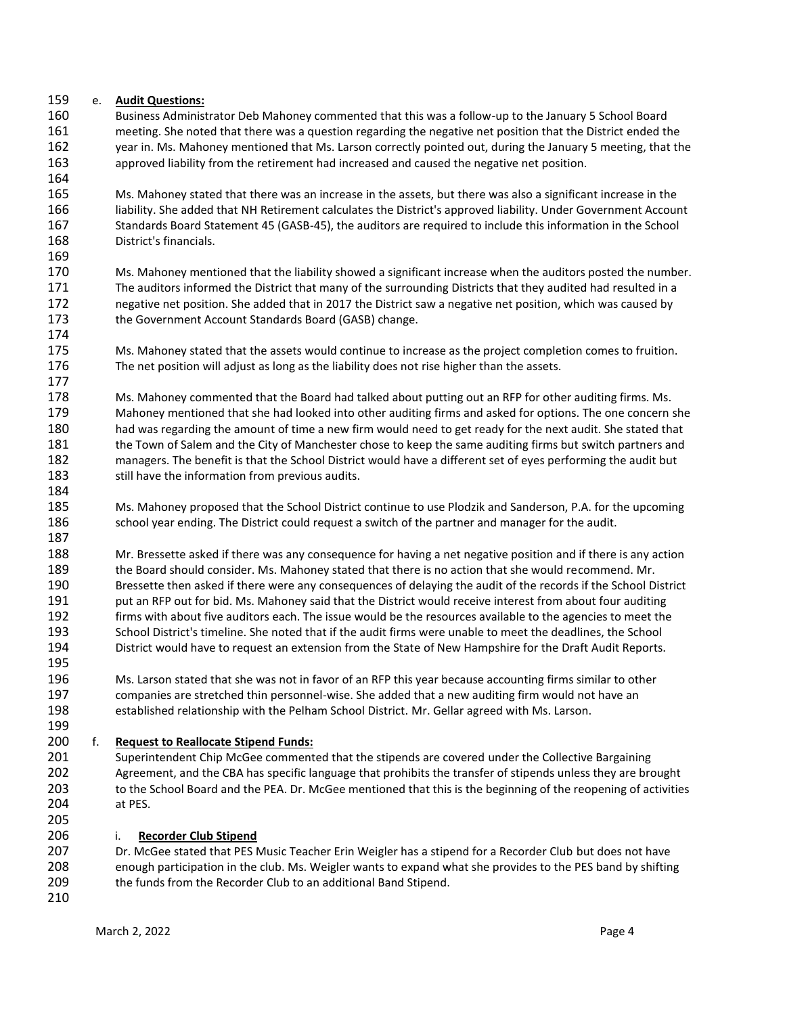## e. **Audit Questions:**

 Business Administrator Deb Mahoney commented that this was a follow-up to the January 5 School Board meeting. She noted that there was a question regarding the negative net position that the District ended the 162 year in. Ms. Mahoney mentioned that Ms. Larson correctly pointed out, during the January 5 meeting, that the approved liability from the retirement had increased and caused the negative net position.

 Ms. Mahoney stated that there was an increase in the assets, but there was also a significant increase in the liability. She added that NH Retirement calculates the District's approved liability. Under Government Account Standards Board Statement 45 (GASB-45), the auditors are required to include this information in the School District's financials.

 Ms. Mahoney mentioned that the liability showed a significant increase when the auditors posted the number. The auditors informed the District that many of the surrounding Districts that they audited had resulted in a negative net position. She added that in 2017 the District saw a negative net position, which was caused by the Government Account Standards Board (GASB) change.

 Ms. Mahoney stated that the assets would continue to increase as the project completion comes to fruition. The net position will adjust as long as the liability does not rise higher than the assets.

 Ms. Mahoney commented that the Board had talked about putting out an RFP for other auditing firms. Ms. Mahoney mentioned that she had looked into other auditing firms and asked for options. The one concern she had was regarding the amount of time a new firm would need to get ready for the next audit. She stated that 181 the Town of Salem and the City of Manchester chose to keep the same auditing firms but switch partners and managers. The benefit is that the School District would have a different set of eyes performing the audit but 183 still have the information from previous audits.

 Ms. Mahoney proposed that the School District continue to use Plodzik and Sanderson, P.A. for the upcoming 186 school year ending. The District could request a switch of the partner and manager for the audit.

 Mr. Bressette asked if there was any consequence for having a net negative position and if there is any action the Board should consider. Ms. Mahoney stated that there is no action that she would recommend. Mr. Bressette then asked if there were any consequences of delaying the audit of the records if the School District 191 put an RFP out for bid. Ms. Mahoney said that the District would receive interest from about four auditing firms with about five auditors each. The issue would be the resources available to the agencies to meet the School District's timeline. She noted that if the audit firms were unable to meet the deadlines, the School District would have to request an extension from the State of New Hampshire for the Draft Audit Reports.

 Ms. Larson stated that she was not in favor of an RFP this year because accounting firms similar to other companies are stretched thin personnel-wise. She added that a new auditing firm would not have an established relationship with the Pelham School District. Mr. Gellar agreed with Ms. Larson.

### f. **Request to Reallocate Stipend Funds:**

 Superintendent Chip McGee commented that the stipends are covered under the Collective Bargaining Agreement, and the CBA has specific language that prohibits the transfer of stipends unless they are brought to the School Board and the PEA. Dr. McGee mentioned that this is the beginning of the reopening of activities at PES.

i. **Recorder Club Stipend**

 Dr. McGee stated that PES Music Teacher Erin Weigler has a stipend for a Recorder Club but does not have enough participation in the club. Ms. Weigler wants to expand what she provides to the PES band by shifting the funds from the Recorder Club to an additional Band Stipend.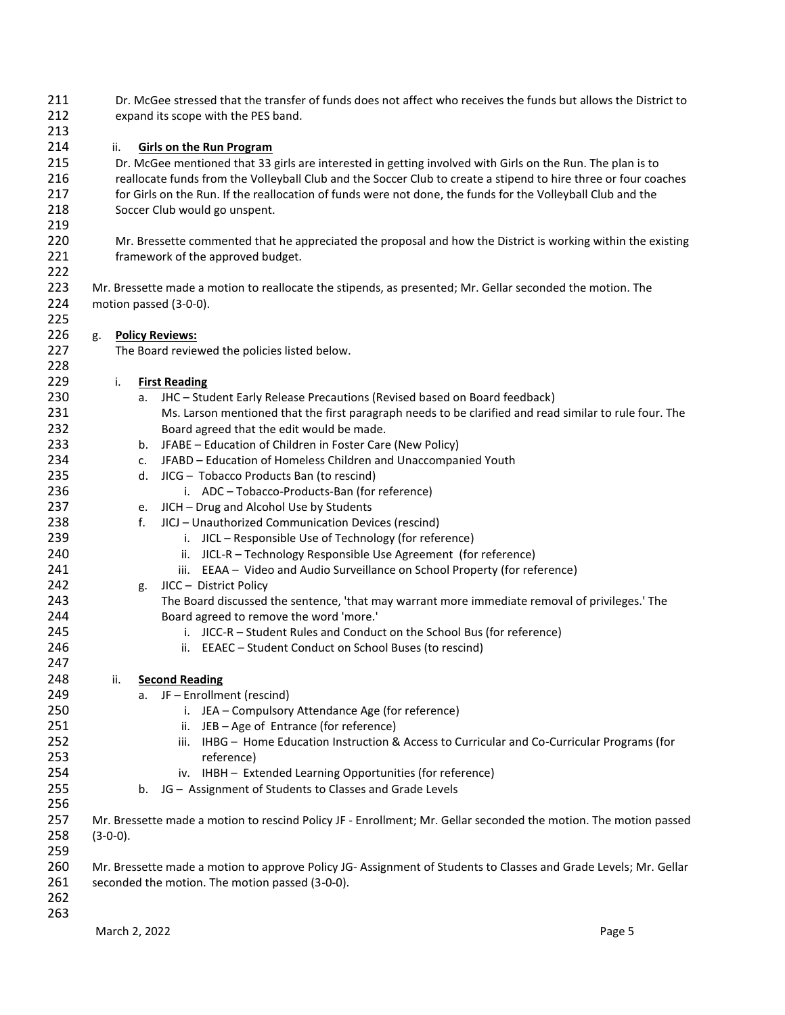| 211<br>212 | Dr. McGee stressed that the transfer of funds does not affect who receives the funds but allows the District to<br>expand its scope with the PES band. |                                                                                                            |                                                                                                                  |        |  |  |
|------------|--------------------------------------------------------------------------------------------------------------------------------------------------------|------------------------------------------------------------------------------------------------------------|------------------------------------------------------------------------------------------------------------------|--------|--|--|
| 213        |                                                                                                                                                        |                                                                                                            |                                                                                                                  |        |  |  |
| 214        | ii.                                                                                                                                                    |                                                                                                            | <b>Girls on the Run Program</b>                                                                                  |        |  |  |
| 215        |                                                                                                                                                        | Dr. McGee mentioned that 33 girls are interested in getting involved with Girls on the Run. The plan is to |                                                                                                                  |        |  |  |
| 216        |                                                                                                                                                        |                                                                                                            | reallocate funds from the Volleyball Club and the Soccer Club to create a stipend to hire three or four coaches  |        |  |  |
| 217        |                                                                                                                                                        |                                                                                                            | for Girls on the Run. If the reallocation of funds were not done, the funds for the Volleyball Club and the      |        |  |  |
| 218        |                                                                                                                                                        |                                                                                                            |                                                                                                                  |        |  |  |
|            |                                                                                                                                                        |                                                                                                            | Soccer Club would go unspent.                                                                                    |        |  |  |
| 219        |                                                                                                                                                        |                                                                                                            |                                                                                                                  |        |  |  |
| 220        |                                                                                                                                                        |                                                                                                            | Mr. Bressette commented that he appreciated the proposal and how the District is working within the existing     |        |  |  |
| 221        |                                                                                                                                                        |                                                                                                            | framework of the approved budget.                                                                                |        |  |  |
| 222        |                                                                                                                                                        |                                                                                                            |                                                                                                                  |        |  |  |
| 223        |                                                                                                                                                        |                                                                                                            | Mr. Bressette made a motion to reallocate the stipends, as presented; Mr. Gellar seconded the motion. The        |        |  |  |
| 224        |                                                                                                                                                        |                                                                                                            | motion passed (3-0-0).                                                                                           |        |  |  |
| 225        |                                                                                                                                                        |                                                                                                            |                                                                                                                  |        |  |  |
| 226        | g.                                                                                                                                                     |                                                                                                            | <b>Policy Reviews:</b>                                                                                           |        |  |  |
| 227        |                                                                                                                                                        |                                                                                                            | The Board reviewed the policies listed below.                                                                    |        |  |  |
| 228        |                                                                                                                                                        |                                                                                                            |                                                                                                                  |        |  |  |
| 229        | i.                                                                                                                                                     |                                                                                                            | <b>First Reading</b>                                                                                             |        |  |  |
| 230        |                                                                                                                                                        |                                                                                                            | a. JHC - Student Early Release Precautions (Revised based on Board feedback)                                     |        |  |  |
| 231        |                                                                                                                                                        |                                                                                                            | Ms. Larson mentioned that the first paragraph needs to be clarified and read similar to rule four. The           |        |  |  |
| 232        |                                                                                                                                                        |                                                                                                            | Board agreed that the edit would be made.                                                                        |        |  |  |
| 233        |                                                                                                                                                        |                                                                                                            | b. JFABE - Education of Children in Foster Care (New Policy)                                                     |        |  |  |
| 234        |                                                                                                                                                        | c.                                                                                                         | JFABD - Education of Homeless Children and Unaccompanied Youth                                                   |        |  |  |
| 235        |                                                                                                                                                        |                                                                                                            | d. JICG - Tobacco Products Ban (to rescind)                                                                      |        |  |  |
| 236        |                                                                                                                                                        |                                                                                                            | i. ADC - Tobacco-Products-Ban (for reference)                                                                    |        |  |  |
| 237        |                                                                                                                                                        |                                                                                                            | e. JICH - Drug and Alcohol Use by Students                                                                       |        |  |  |
|            |                                                                                                                                                        |                                                                                                            |                                                                                                                  |        |  |  |
| 238        |                                                                                                                                                        | f.                                                                                                         | JICJ - Unauthorized Communication Devices (rescind)                                                              |        |  |  |
| 239        |                                                                                                                                                        |                                                                                                            | i. JICL - Responsible Use of Technology (for reference)                                                          |        |  |  |
| 240        |                                                                                                                                                        |                                                                                                            | ii. JICL-R - Technology Responsible Use Agreement (for reference)                                                |        |  |  |
| 241        |                                                                                                                                                        |                                                                                                            | iii. EEAA - Video and Audio Surveillance on School Property (for reference)                                      |        |  |  |
| 242        |                                                                                                                                                        | g.                                                                                                         | JICC - District Policy                                                                                           |        |  |  |
| 243        |                                                                                                                                                        |                                                                                                            | The Board discussed the sentence, 'that may warrant more immediate removal of privileges.' The                   |        |  |  |
| 244        |                                                                                                                                                        |                                                                                                            | Board agreed to remove the word 'more.'                                                                          |        |  |  |
| 245        |                                                                                                                                                        |                                                                                                            | i. JICC-R - Student Rules and Conduct on the School Bus (for reference)                                          |        |  |  |
| 246        |                                                                                                                                                        |                                                                                                            | ii. EEAEC - Student Conduct on School Buses (to rescind)                                                         |        |  |  |
| 247        |                                                                                                                                                        |                                                                                                            |                                                                                                                  |        |  |  |
| 248        | ii.                                                                                                                                                    |                                                                                                            | <b>Second Reading</b>                                                                                            |        |  |  |
| 249        |                                                                                                                                                        | a.                                                                                                         | JF - Enrollment (rescind)                                                                                        |        |  |  |
| 250        |                                                                                                                                                        |                                                                                                            | i. JEA - Compulsory Attendance Age (for reference)                                                               |        |  |  |
| 251        |                                                                                                                                                        |                                                                                                            | JEB - Age of Entrance (for reference)<br>ii.                                                                     |        |  |  |
| 252        |                                                                                                                                                        |                                                                                                            | IHBG - Home Education Instruction & Access to Curricular and Co-Curricular Programs (for<br>iii.                 |        |  |  |
| 253        |                                                                                                                                                        |                                                                                                            | reference)                                                                                                       |        |  |  |
| 254        |                                                                                                                                                        |                                                                                                            | iv. IHBH - Extended Learning Opportunities (for reference)                                                       |        |  |  |
| 255        |                                                                                                                                                        |                                                                                                            | b. JG - Assignment of Students to Classes and Grade Levels                                                       |        |  |  |
| 256        |                                                                                                                                                        |                                                                                                            |                                                                                                                  |        |  |  |
| 257        |                                                                                                                                                        |                                                                                                            | Mr. Bressette made a motion to rescind Policy JF - Enrollment; Mr. Gellar seconded the motion. The motion passed |        |  |  |
| 258        |                                                                                                                                                        |                                                                                                            |                                                                                                                  |        |  |  |
|            | $(3-0-0)$ .                                                                                                                                            |                                                                                                            |                                                                                                                  |        |  |  |
| 259        |                                                                                                                                                        |                                                                                                            |                                                                                                                  |        |  |  |
| 260        |                                                                                                                                                        |                                                                                                            | Mr. Bressette made a motion to approve Policy JG-Assignment of Students to Classes and Grade Levels; Mr. Gellar  |        |  |  |
| 261        |                                                                                                                                                        |                                                                                                            | seconded the motion. The motion passed (3-0-0).                                                                  |        |  |  |
| 262        |                                                                                                                                                        |                                                                                                            |                                                                                                                  |        |  |  |
| 263        |                                                                                                                                                        |                                                                                                            |                                                                                                                  |        |  |  |
|            | March 2, 2022                                                                                                                                          |                                                                                                            |                                                                                                                  | Page 5 |  |  |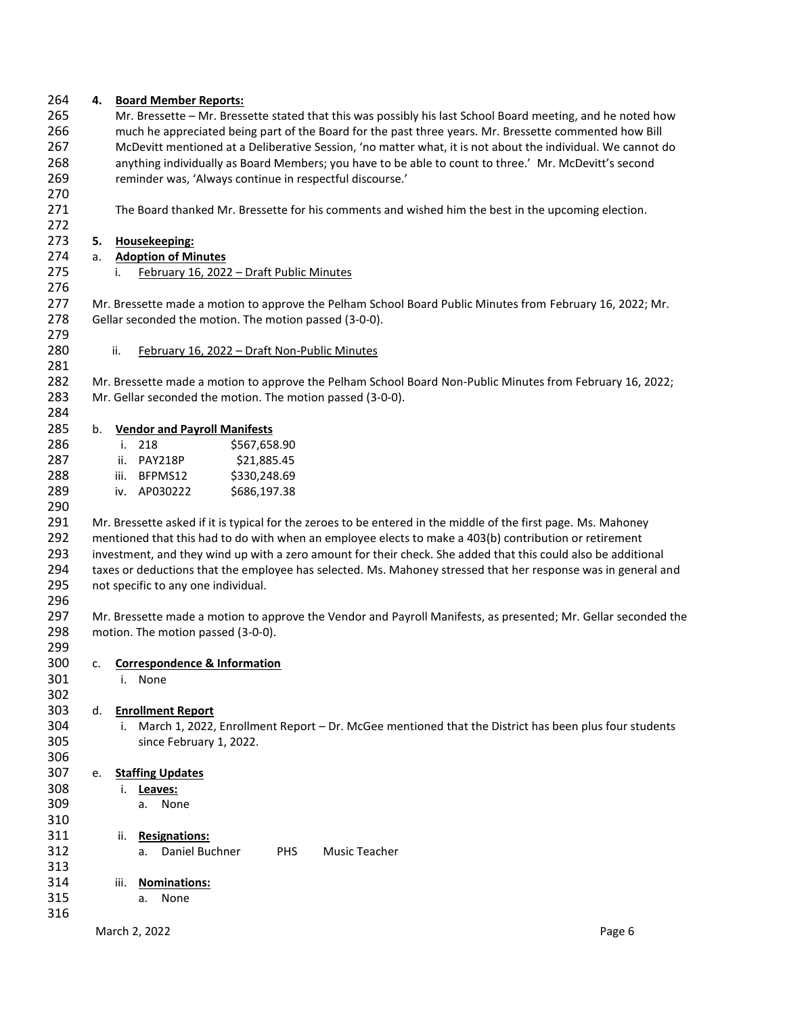| 264 | 4. | <b>Board Member Reports:</b>                                                                                   |  |
|-----|----|----------------------------------------------------------------------------------------------------------------|--|
| 265 |    | Mr. Bressette - Mr. Bressette stated that this was possibly his last School Board meeting, and he noted how    |  |
| 266 |    | much he appreciated being part of the Board for the past three years. Mr. Bressette commented how Bill         |  |
| 267 |    | McDevitt mentioned at a Deliberative Session, 'no matter what, it is not about the individual. We cannot do    |  |
| 268 |    | anything individually as Board Members; you have to be able to count to three.' Mr. McDevitt's second          |  |
| 269 |    | reminder was, 'Always continue in respectful discourse.'                                                       |  |
| 270 |    |                                                                                                                |  |
| 271 |    | The Board thanked Mr. Bressette for his comments and wished him the best in the upcoming election.             |  |
| 272 |    |                                                                                                                |  |
| 273 | 5. | Housekeeping:                                                                                                  |  |
| 274 | a. | <b>Adoption of Minutes</b>                                                                                     |  |
| 275 |    | February 16, 2022 - Draft Public Minutes<br>i.                                                                 |  |
| 276 |    |                                                                                                                |  |
| 277 |    | Mr. Bressette made a motion to approve the Pelham School Board Public Minutes from February 16, 2022; Mr.      |  |
| 278 |    | Gellar seconded the motion. The motion passed (3-0-0).                                                         |  |
| 279 |    |                                                                                                                |  |
| 280 |    | ii.                                                                                                            |  |
|     |    | February 16, 2022 - Draft Non-Public Minutes                                                                   |  |
| 281 |    |                                                                                                                |  |
| 282 |    | Mr. Bressette made a motion to approve the Pelham School Board Non-Public Minutes from February 16, 2022;      |  |
| 283 |    | Mr. Gellar seconded the motion. The motion passed (3-0-0).                                                     |  |
| 284 |    |                                                                                                                |  |
| 285 | b. | <b>Vendor and Payroll Manifests</b>                                                                            |  |
| 286 |    | i. 218<br>\$567,658.90                                                                                         |  |
| 287 |    | ii. PAY218P<br>\$21,885.45                                                                                     |  |
| 288 |    | iii. BFPMS12<br>\$330,248.69                                                                                   |  |
| 289 |    | iv. AP030222<br>\$686,197.38                                                                                   |  |
| 290 |    |                                                                                                                |  |
| 291 |    | Mr. Bressette asked if it is typical for the zeroes to be entered in the middle of the first page. Ms. Mahoney |  |
| 292 |    | mentioned that this had to do with when an employee elects to make a 403(b) contribution or retirement         |  |
| 293 |    | investment, and they wind up with a zero amount for their check. She added that this could also be additional  |  |
| 294 |    | taxes or deductions that the employee has selected. Ms. Mahoney stressed that her response was in general and  |  |
| 295 |    | not specific to any one individual.                                                                            |  |
| 296 |    |                                                                                                                |  |
| 297 |    | Mr. Bressette made a motion to approve the Vendor and Payroll Manifests, as presented; Mr. Gellar seconded the |  |
| 298 |    | motion. The motion passed (3-0-0).                                                                             |  |
| 299 |    |                                                                                                                |  |
| 300 | c. | <b>Correspondence &amp; Information</b>                                                                        |  |
| 301 |    | i. None                                                                                                        |  |
| 302 |    |                                                                                                                |  |
| 303 | d. | <b>Enrollment Report</b>                                                                                       |  |
| 304 |    | March 1, 2022, Enrollment Report - Dr. McGee mentioned that the District has been plus four students<br>i.     |  |
| 305 |    | since February 1, 2022.                                                                                        |  |
| 306 |    |                                                                                                                |  |
| 307 | е. | <b>Staffing Updates</b>                                                                                        |  |
| 308 |    | i.<br>Leaves:                                                                                                  |  |
| 309 |    | None<br>а. -                                                                                                   |  |
| 310 |    |                                                                                                                |  |
| 311 |    | <b>Resignations:</b><br>ii.                                                                                    |  |
| 312 |    | Daniel Buchner<br><b>PHS</b><br>Music Teacher<br>а.                                                            |  |
| 313 |    |                                                                                                                |  |
| 314 |    | <b>Nominations:</b><br>iii.                                                                                    |  |
| 315 |    | None<br>а.                                                                                                     |  |
| 316 |    |                                                                                                                |  |
|     |    | March 2, 2022<br>Page 6                                                                                        |  |
|     |    |                                                                                                                |  |